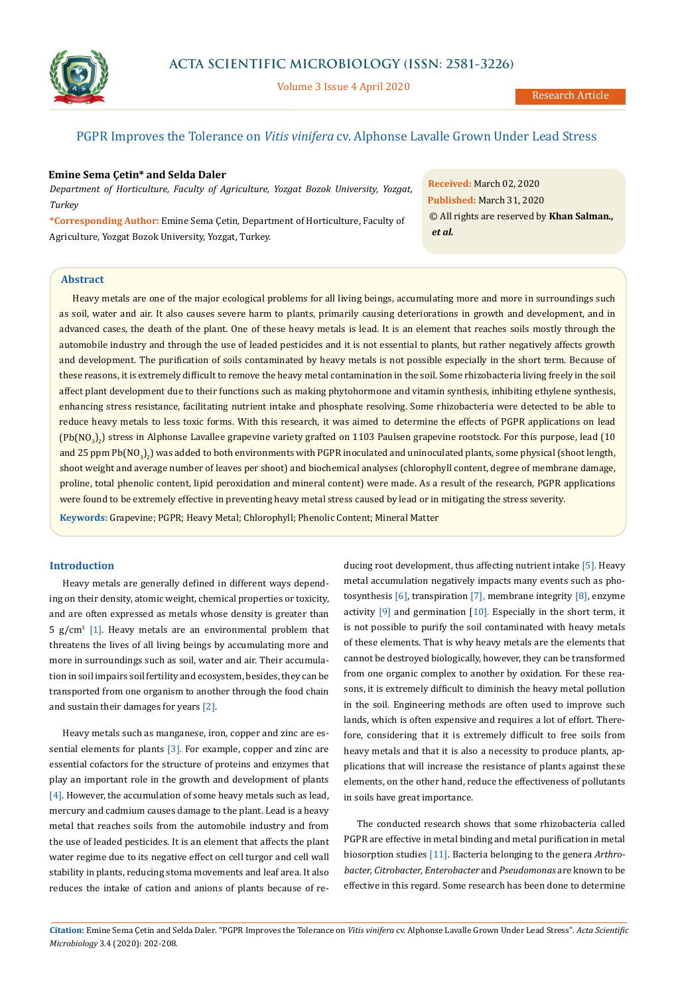

Volume 3 Issue 4 April 2020

# PGPR Improves the Tolerance on *Vitis vinifera* cv. Alphonse Lavalle Grown Under Lead Stress

### **Emine Sema Çetin\* and Selda Daler**

*Department of Horticulture, Faculty of Agriculture, Yozgat Bozok University, Yozgat, Turkey*

**\*Corresponding Author:** Emine Sema Çetin, Department of Horticulture, Faculty of Agriculture, Yozgat Bozok University, Yozgat, Turkey.

**Received:** March 02, 2020 **Published:** March 31, 2020 © All rights are reserved by **Khan Salman***., et al.*

# **Abstract**

**Keywords:** Grapevine; PGPR; Heavy Metal; Chlorophyll; Phenolic Content; Mineral Matter Heavy metals are one of the major ecological problems for all living beings, accumulating more and more in surroundings such as soil, water and air. It also causes severe harm to plants, primarily causing deteriorations in growth and development, and in advanced cases, the death of the plant. One of these heavy metals is lead. It is an element that reaches soils mostly through the automobile industry and through the use of leaded pesticides and it is not essential to plants, but rather negatively affects growth and development. The purification of soils contaminated by heavy metals is not possible especially in the short term. Because of these reasons, it is extremely difficult to remove the heavy metal contamination in the soil. Some rhizobacteria living freely in the soil affect plant development due to their functions such as making phytohormone and vitamin synthesis, inhibiting ethylene synthesis, enhancing stress resistance, facilitating nutrient intake and phosphate resolving. Some rhizobacteria were detected to be able to reduce heavy metals to less toxic forms. With this research, it was aimed to determine the effects of PGPR applications on lead (Pb(NO<sub>3</sub>)<sub>2</sub>) stress in Alphonse Lavallee grapevine variety grafted on 1103 Paulsen grapevine rootstock. For this purpose, lead (10 and 25 ppm Pb(NO<sub>3</sub>)<sub>2</sub>) was added to both environments with PGPR inoculated and uninoculated plants, some physical (shoot length, shoot weight and average number of leaves per shoot) and biochemical analyses (chlorophyll content, degree of membrane damage, proline, total phenolic content, lipid peroxidation and mineral content) were made. As a result of the research, PGPR applications were found to be extremely effective in preventing heavy metal stress caused by lead or in mitigating the stress severity.

## **Introduction**

Heavy metals are generally defined in different ways depending on their density, atomic weight, chemical properties or toxicity, and are often expressed as metals whose density is greater than 5  $g/cm<sup>3</sup>$  [1]. Heavy metals are an environmental problem that threatens the lives of all living beings by accumulating more and more in surroundings such as soil, water and air. Their accumulation in soil impairs soil fertility and ecosystem, besides, they can be transported from one organism to another through the food chain and sustain their damages for years [2].

Heavy metals such as manganese, iron, copper and zinc are essential elements for plants  $[3]$ . For example, copper and zinc are essential cofactors for the structure of proteins and enzymes that play an important role in the growth and development of plants [4]. However, the accumulation of some heavy metals such as lead, mercury and cadmium causes damage to the plant. Lead is a heavy metal that reaches soils from the automobile industry and from the use of leaded pesticides. It is an element that affects the plant water regime due to its negative effect on cell turgor and cell wall stability in plants, reducing stoma movements and leaf area. It also reduces the intake of cation and anions of plants because of re-

ducing root development, thus affecting nutrient intake [5]. Heavy metal accumulation negatively impacts many events such as photosynthesis [6], transpiration [7], membrane integrity [8], enzyme activity  $[9]$  and germination  $[10]$ . Especially in the short term, it is not possible to purify the soil contaminated with heavy metals of these elements. That is why heavy metals are the elements that cannot be destroyed biologically, however, they can be transformed from one organic complex to another by oxidation. For these reasons, it is extremely difficult to diminish the heavy metal pollution in the soil. Engineering methods are often used to improve such lands, which is often expensive and requires a lot of effort. Therefore, considering that it is extremely difficult to free soils from heavy metals and that it is also a necessity to produce plants, applications that will increase the resistance of plants against these elements, on the other hand, reduce the effectiveness of pollutants in soils have great importance.

The conducted research shows that some rhizobacteria called PGPR are effective in metal binding and metal purification in metal biosorption studies [11]. Bacteria belonging to the genera *Arthrobacter, Citrobacter, Enterobacter* and *Pseudomonas* are known to be effective in this regard. Some research has been done to determine

**Citation:** Emine Sema Çetin and Selda Daler*.* "PGPR Improves the Tolerance on *Vitis vinifera* cv. Alphonse Lavalle Grown Under Lead Stress". *Acta Scientific Microbiology* 3.4 (2020): 202-208.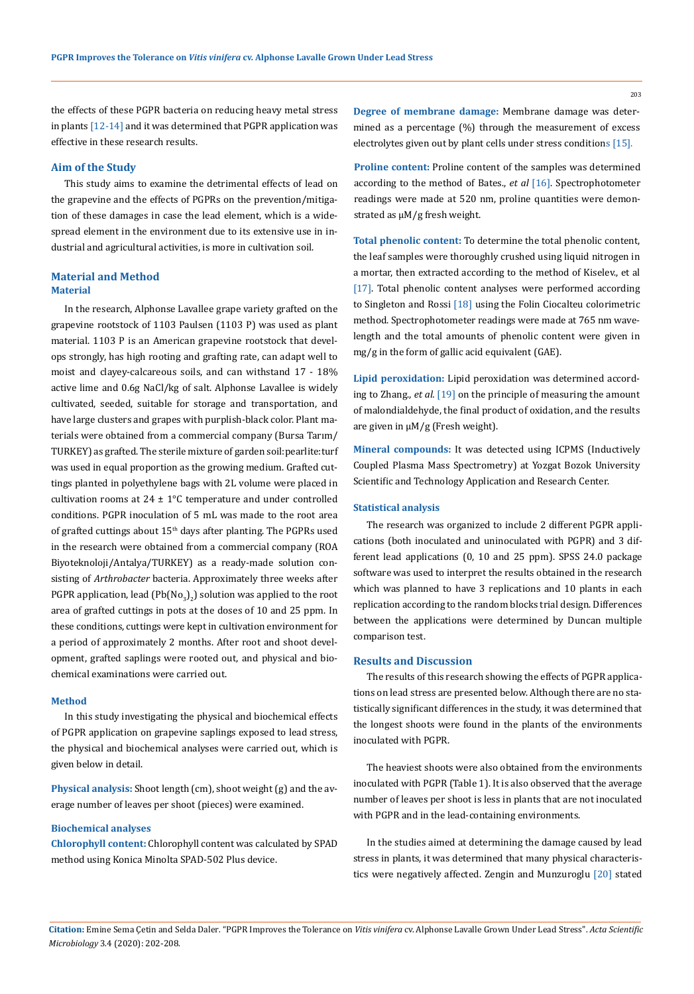the effects of these PGPR bacteria on reducing heavy metal stress in plants [12-14] and it was determined that PGPR application was effective in these research results.

### **Aim of the Study**

This study aims to examine the detrimental effects of lead on the grapevine and the effects of PGPRs on the prevention/mitigation of these damages in case the lead element, which is a widespread element in the environment due to its extensive use in industrial and agricultural activities, is more in cultivation soil.

## **Material and Method Material**

In the research, Alphonse Lavallee grape variety grafted on the grapevine rootstock of 1103 Paulsen (1103 P) was used as plant material. 1103 P is an American grapevine rootstock that develops strongly, has high rooting and grafting rate, can adapt well to moist and clayey-calcareous soils, and can withstand 17 - 18% active lime and 0.6g NaCl/kg of salt. Alphonse Lavallee is widely cultivated, seeded, suitable for storage and transportation, and have large clusters and grapes with purplish-black color. Plant materials were obtained from a commercial company (Bursa Tarım/ TURKEY) as grafted. The sterile mixture of garden soil:pearlite:turf was used in equal proportion as the growing medium. Grafted cuttings planted in polyethylene bags with 2L volume were placed in cultivation rooms at  $24 \pm 1^{\circ}$ C temperature and under controlled conditions. PGPR inoculation of 5 mL was made to the root area of grafted cuttings about 15<sup>th</sup> days after planting. The PGPRs used in the research were obtained from a commercial company (ROA Biyoteknoloji/Antalya/TURKEY) as a ready-made solution consisting of *Arthrobacter* bacteria. Approximately three weeks after PGPR application, lead  $($ Pb $($ No $_3)_{2}$ ) solution was applied to the root area of grafted cuttings in pots at the doses of 10 and 25 ppm. In these conditions, cuttings were kept in cultivation environment for a period of approximately 2 months. After root and shoot development, grafted saplings were rooted out, and physical and biochemical examinations were carried out.

### **Method**

In this study investigating the physical and biochemical effects of PGPR application on grapevine saplings exposed to lead stress, the physical and biochemical analyses were carried out, which is given below in detail.

**Physical analysis:** Shoot length (cm), shoot weight (g) and the average number of leaves per shoot (pieces) were examined.

## **Biochemical analyses**

**Chlorophyll content:** Chlorophyll content was calculated by SPAD method using Konica Minolta SPAD-502 Plus device.

**Degree of membrane damage:** Membrane damage was determined as a percentage (%) through the measurement of excess electrolytes given out by plant cells under stress conditions [15].

**Proline content:** Proline content of the samples was determined according to the method of Bates., *et al* [16]. Spectrophotometer readings were made at 520 nm, proline quantities were demonstrated as µM/g fresh weight.

**Total phenolic content:** To determine the total phenolic content, the leaf samples were thoroughly crushed using liquid nitrogen in a mortar, then extracted according to the method of Kiselev., et al [17]. Total phenolic content analyses were performed according to Singleton and Rossi [18] using the Folin Ciocalteu colorimetric method. Spectrophotometer readings were made at 765 nm wavelength and the total amounts of phenolic content were given in mg/g in the form of gallic acid equivalent (GAE).

**Lipid peroxidation:** Lipid peroxidation was determined according to Zhang., *et al.* [19] on the principle of measuring the amount of malondialdehyde, the final product of oxidation, and the results are given in μM/g (Fresh weight).

**Mineral compounds:** It was detected using ICPMS (Inductively Coupled Plasma Mass Spectrometry) at Yozgat Bozok University Scientific and Technology Application and Research Center.

#### **Statistical analysis**

The research was organized to include 2 different PGPR applications (both inoculated and uninoculated with PGPR) and 3 different lead applications (0, 10 and 25 ppm). SPSS 24.0 package software was used to interpret the results obtained in the research which was planned to have 3 replications and 10 plants in each replication according to the random blocks trial design. Differences between the applications were determined by Duncan multiple comparison test.

### **Results and Discussion**

The results of this research showing the effects of PGPR applications on lead stress are presented below. Although there are no statistically significant differences in the study, it was determined that the longest shoots were found in the plants of the environments inoculated with PGPR.

The heaviest shoots were also obtained from the environments inoculated with PGPR (Table 1). It is also observed that the average number of leaves per shoot is less in plants that are not inoculated with PGPR and in the lead-containing environments.

In the studies aimed at determining the damage caused by lead stress in plants, it was determined that many physical characteristics were negatively affected. Zengin and Munzuroglu [20] stated

203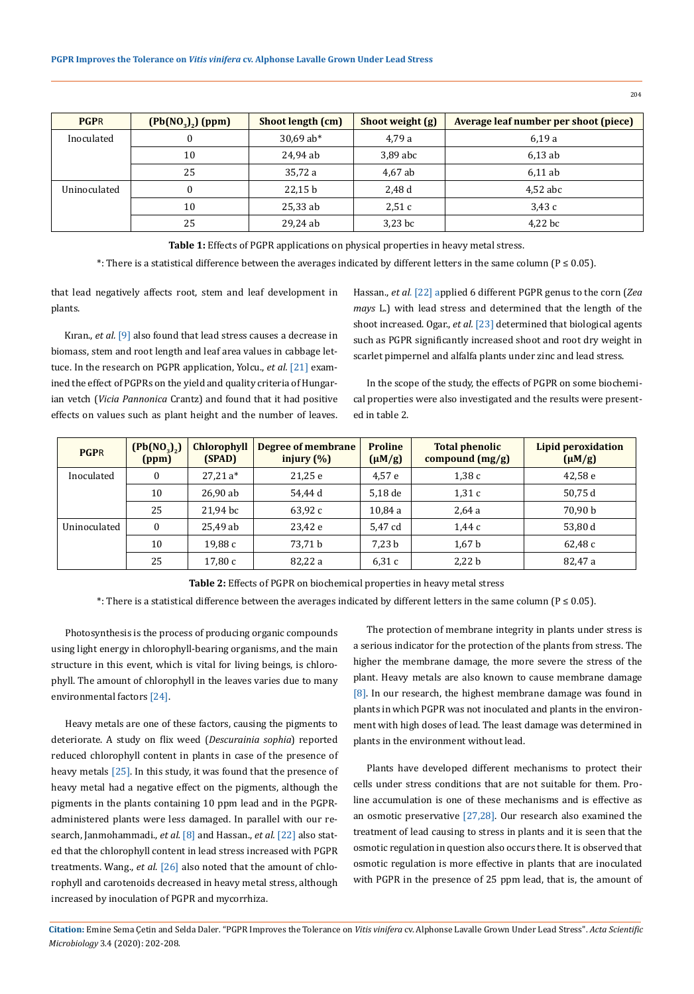| <b>PGPR</b>  | $(Pb(NO_3)_2)$ (ppm) | Shoot length (cm) | Shoot weight (g) | Average leaf number per shoot (piece) |  |  |  |
|--------------|----------------------|-------------------|------------------|---------------------------------------|--|--|--|
| Inoculated   |                      | $30,69$ ab*       | 4,79 a           | 6,19a                                 |  |  |  |
|              | 10                   | 24,94 ab          | 3,89 abc         | 6.13ab                                |  |  |  |
|              | 25                   | 35,72 a           | 4,67 ab          | 6.11ab                                |  |  |  |
| Uninoculated |                      | 22,15 b           | 2,48 d           | $4,52$ abc                            |  |  |  |
|              | 10                   | $25,33$ ab        | 2,51c            | 3,43c                                 |  |  |  |
|              | 25                   | 29,24 ab          | $3,23$ bc        | 4,22 bc                               |  |  |  |

**Table 1:** Effects of PGPR applications on physical properties in heavy metal stress.

\*: There is a statistical difference between the averages indicated by different letters in the same column (P ≤ 0.05).

that lead negatively affects root, stem and leaf development in plants.

Kıran., *et al.* [9] also found that lead stress causes a decrease in biomass, stem and root length and leaf area values in cabbage lettuce. In the research on PGPR application, Yolcu., *et al.* [21] examined the effect of PGPRs on the yield and quality criteria of Hungarian vetch (*Vicia Pannonica* Crantz) and found that it had positive effects on values such as plant height and the number of leaves.

Hassan., *et al*. [22] applied 6 different PGPR genus to the corn (*Zea mays* L.) with lead stress and determined that the length of the shoot increased. Ogar., *et al.* [23] determined that biological agents such as PGPR significantly increased shoot and root dry weight in scarlet pimpernel and alfalfa plants under zinc and lead stress.

In the scope of the study, the effects of PGPR on some biochemical properties were also investigated and the results were presented in table 2.

| <b>PGPR</b>  | $(Pb(NO_3),)$<br>(ppm) | <b>Chlorophyll</b><br>(SPAD) | Degree of membrane<br>injury $(\%)$ | <b>Proline</b><br>$(\mu M/g)$ | <b>Total phenolic</b><br>compound $(mg/g)$ | <b>Lipid peroxidation</b><br>$(\mu M/g)$ |
|--------------|------------------------|------------------------------|-------------------------------------|-------------------------------|--------------------------------------------|------------------------------------------|
| Inoculated   | $\mathbf{0}$           | $27,21a*$                    | 21,25 e                             | 4,57e                         | 1,38c                                      | 42,58e                                   |
|              | 10                     | 26.90ab                      | 54.44 d                             | 5.18 de                       | 1,31c                                      | 50,75 d                                  |
|              | 25                     | 21,94 bc                     | 63,92 c                             | 10,84a                        | 2,64a                                      | 70.90 b                                  |
| Uninoculated | $\theta$               | 25,49 ab                     | 23,42 e                             | 5.47 cd                       | 1.44c                                      | 53,80 d                                  |
|              | 10                     | 19,88 c                      | 73.71 b                             | 7.23 <sub>b</sub>             | 1,67 <sub>b</sub>                          | 62,48 c                                  |
|              | 25                     | 17,80 c                      | 82,22 a                             | 6.31c                         | 2,22 b                                     | 82,47 a                                  |

**Table 2:** Effects of PGPR on biochemical properties in heavy metal stress

\*: There is a statistical difference between the averages indicated by different letters in the same column (P ≤ 0.05).

Photosynthesis is the process of producing organic compounds using light energy in chlorophyll-bearing organisms, and the main structure in this event, which is vital for living beings, is chlorophyll. The amount of chlorophyll in the leaves varies due to many environmental factors [24].

Heavy metals are one of these factors, causing the pigments to deteriorate. A study on flix weed (*Descurainia sophia*) reported reduced chlorophyll content in plants in case of the presence of heavy metals [25]. In this study, it was found that the presence of heavy metal had a negative effect on the pigments, although the pigments in the plants containing 10 ppm lead and in the PGPRadministered plants were less damaged. In parallel with our research, Janmohammadi., *et al.* [8] and Hassan., *et al.* [22] also stated that the chlorophyll content in lead stress increased with PGPR treatments. Wang., *et al*. [26] also noted that the amount of chlorophyll and carotenoids decreased in heavy metal stress, although increased by inoculation of PGPR and mycorrhiza.

The protection of membrane integrity in plants under stress is a serious indicator for the protection of the plants from stress. The higher the membrane damage, the more severe the stress of the plant. Heavy metals are also known to cause membrane damage [8]. In our research, the highest membrane damage was found in plants in which PGPR was not inoculated and plants in the environment with high doses of lead. The least damage was determined in plants in the environment without lead.

Plants have developed different mechanisms to protect their cells under stress conditions that are not suitable for them. Proline accumulation is one of these mechanisms and is effective as an osmotic preservative [27,28]. Our research also examined the treatment of lead causing to stress in plants and it is seen that the osmotic regulation in question also occurs there. It is observed that osmotic regulation is more effective in plants that are inoculated with PGPR in the presence of 25 ppm lead, that is, the amount of

**Citation:** Emine Sema Çetin and Selda Daler*.* "PGPR Improves the Tolerance on *Vitis vinifera* cv. Alphonse Lavalle Grown Under Lead Stress". *Acta Scientific Microbiology* 3.4 (2020): 202-208.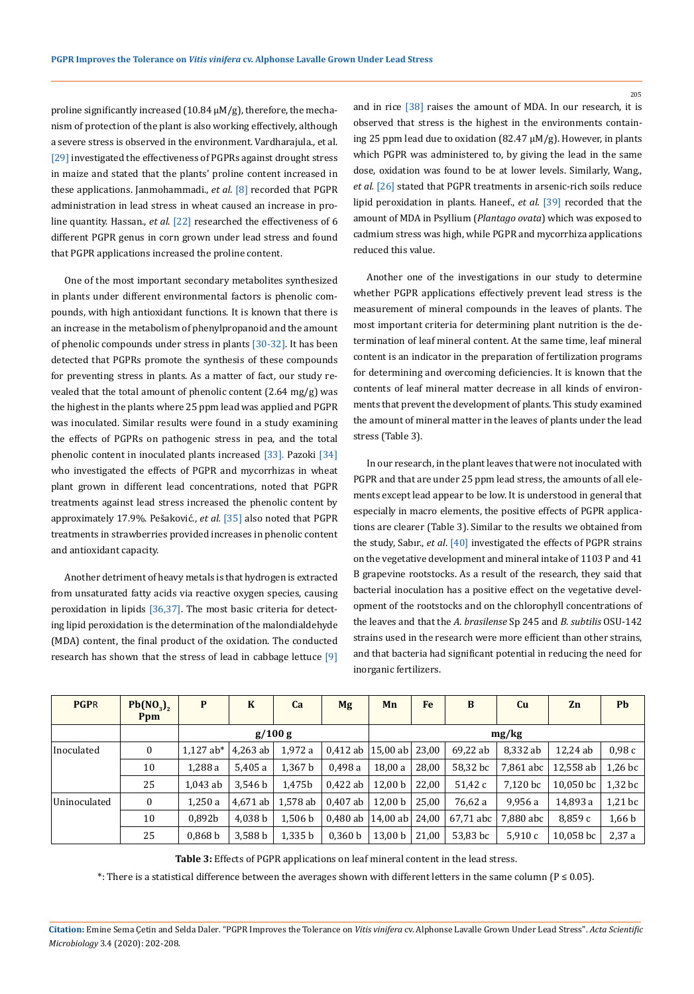proline significantly increased  $(10.84 \mu M/g)$ , therefore, the mechanism of protection of the plant is also working effectively, although a severe stress is observed in the environment. Vardharajula., et al. [29] investigated the effectiveness of PGPRs against drought stress in maize and stated that the plants' proline content increased in these applications. Janmohammadi., *et al.* [8] recorded that PGPR administration in lead stress in wheat caused an increase in proline quantity. Hassan., *et al*. [22] researched the effectiveness of 6 different PGPR genus in corn grown under lead stress and found that PGPR applications increased the proline content.

One of the most important secondary metabolites synthesized in plants under different environmental factors is phenolic compounds, with high antioxidant functions. It is known that there is an increase in the metabolism of phenylpropanoid and the amount of phenolic compounds under stress in plants [30-32]. It has been detected that PGPRs promote the synthesis of these compounds for preventing stress in plants. As a matter of fact, our study revealed that the total amount of phenolic content (2.64 mg/g) was the highest in the plants where 25 ppm lead was applied and PGPR was inoculated. Similar results were found in a study examining the effects of PGPRs on pathogenic stress in pea, and the total phenolic content in inoculated plants increased [33]. Pazoki [34] who investigated the effects of PGPR and mycorrhizas in wheat plant grown in different lead concentrations, noted that PGPR treatments against lead stress increased the phenolic content by approximately 17.9%. Pešaković., *et al.* [35] also noted that PGPR treatments in strawberries provided increases in phenolic content and antioxidant capacity.

Another detriment of heavy metals is that hydrogen is extracted from unsaturated fatty acids via reactive oxygen species, causing peroxidation in lipids [36,37]. The most basic criteria for detecting lipid peroxidation is the determination of the malondialdehyde (MDA) content, the final product of the oxidation. The conducted research has shown that the stress of lead in cabbage lettuce [9]

and in rice [38] raises the amount of MDA. In our research, it is observed that stress is the highest in the environments containing 25 ppm lead due to oxidation (82.47 μM/g). However, in plants which PGPR was administered to, by giving the lead in the same dose, oxidation was found to be at lower levels. Similarly, Wang., *et al.* [26] stated that PGPR treatments in arsenic-rich soils reduce lipid peroxidation in plants. Haneef., *et al.* [39] recorded that the amount of MDA in Psyllium (*Plantago ovata*) which was exposed to cadmium stress was high, while PGPR and mycorrhiza applications reduced this value.

Another one of the investigations in our study to determine whether PGPR applications effectively prevent lead stress is the measurement of mineral compounds in the leaves of plants. The most important criteria for determining plant nutrition is the determination of leaf mineral content. At the same time, leaf mineral content is an indicator in the preparation of fertilization programs for determining and overcoming deficiencies. It is known that the contents of leaf mineral matter decrease in all kinds of environments that prevent the development of plants. This study examined the amount of mineral matter in the leaves of plants under the lead stress (Table 3).

In our research, in the plant leaves that were not inoculated with PGPR and that are under 25 ppm lead stress, the amounts of all elements except lead appear to be low. It is understood in general that especially in macro elements, the positive effects of PGPR applications are clearer (Table 3). Similar to the results we obtained from the study, Sabır., *et al*. [40] investigated the effects of PGPR strains on the vegetative development and mineral intake of 1103 P and 41 B grapevine rootstocks. As a result of the research, they said that bacterial inoculation has a positive effect on the vegetative development of the rootstocks and on the chlorophyll concentrations of the leaves and that the *A. brasilense* Sp 245 and *B. subtilis* OSU-142 strains used in the research were more efficient than other strains, and that bacteria had significant potential in reducing the need for inorganic fertilizers.

| <b>PGPR</b>  | $Pb(NO_3)$<br><b>Ppm</b> | P                  | K          | Ca                 | <b>Mg</b>  | Mn                 | <b>Fe</b> | B         | Cu        | Zn        | <b>Pb</b> |
|--------------|--------------------------|--------------------|------------|--------------------|------------|--------------------|-----------|-----------|-----------|-----------|-----------|
|              |                          | g/100 g            |            |                    |            | mg/kg              |           |           |           |           |           |
| Inoculated   | 0                        | $1.127$ ab*        | $4.263$ ab | 1.972 a            | $0.412$ ab | $15,00$ ab $23,00$ |           | 69.22 ab  | 8.332 ab  | 12.24 ab  | 0.98c     |
|              | 10                       | 1.288 a            | 5.405 a    | 1.367 b            | 0.498 a    | 18,00 a            | 28.00     | 58.32 bc  | 7.861 abc | 12.558 ab | $1,26$ bc |
|              | 25                       | 1.043 ab           | 3.546 b    | 1.475b             | 0.422 ab   | 12.00 <sub>b</sub> | 22,00     | 51,42 c   | 7.120 bc  | 10.050 bc | $1,32$ bc |
| Uninoculated | $\boldsymbol{0}$         | 1,250a             | 4.671 ab   | 1,578 ab           | 0.407 ab   | 12,00 b            | 25,00     | 76,62 a   | 9,956 a   | 14,893 a  | $1,21$ bc |
|              | 10                       | 0.892b             | 4.038 b    | 1.506 <sub>b</sub> | 0.480 ab 1 | 14,00 ab $ 24,00 $ |           | 67.71 abc | 7.880 abc | 8.859c    | 1,66 b    |
|              | 25                       | 0.868 <sub>b</sub> | 3.588 b    | 1,335 b            | 0.360 b    | 13,00 b            | 21,00     | 53.83 bc  | 5.910c    | 10.058 bc | 2,37a     |

**Table 3:** Effects of PGPR applications on leaf mineral content in the lead stress.

\*: There is a statistical difference between the averages shown with different letters in the same column (P ≤ 0.05).

**Citation:** Emine Sema Çetin and Selda Daler*.* "PGPR Improves the Tolerance on *Vitis vinifera* cv. Alphonse Lavalle Grown Under Lead Stress". *Acta Scientific Microbiology* 3.4 (2020): 202-208.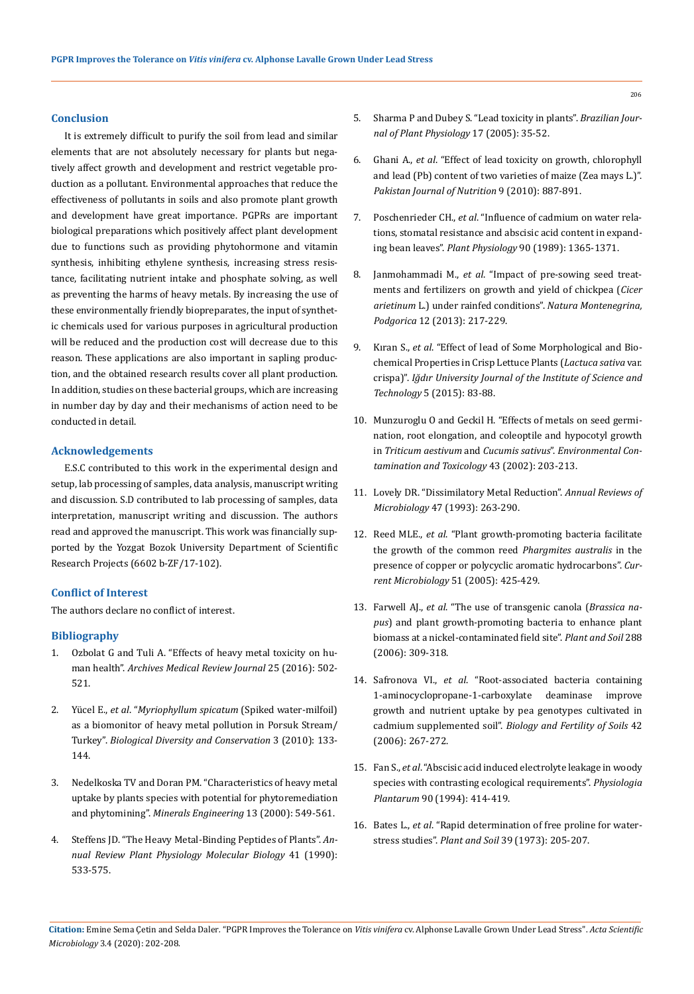### **Conclusion**

It is extremely difficult to purify the soil from lead and similar elements that are not absolutely necessary for plants but negatively affect growth and development and restrict vegetable production as a pollutant. Environmental approaches that reduce the effectiveness of pollutants in soils and also promote plant growth and development have great importance. PGPRs are important biological preparations which positively affect plant development due to functions such as providing phytohormone and vitamin synthesis, inhibiting ethylene synthesis, increasing stress resistance, facilitating nutrient intake and phosphate solving, as well as preventing the harms of heavy metals. By increasing the use of these environmentally friendly biopreparates, the input of synthetic chemicals used for various purposes in agricultural production will be reduced and the production cost will decrease due to this reason. These applications are also important in sapling production, and the obtained research results cover all plant production. In addition, studies on these bacterial groups, which are increasing in number day by day and their mechanisms of action need to be conducted in detail.

## **Acknowledgements**

E.S.C contributed to this work in the experimental design and setup, lab processing of samples, data analysis, manuscript writing and discussion. S.D contributed to lab processing of samples, data interpretation, manuscript writing and discussion. The authors read and approved the manuscript. This work was financially supported by the Yozgat Bozok University Department of Scientific Research Projects (6602 b-ZF/17-102).

## **Conflict of Interest**

The authors declare no conflict of interest.

## **Bibliography**

- 1. Ozbolat G and Tuli A. "Effects of heavy metal toxicity on human health". *Archives Medical Review Journal* 25 (2016): 502- 521.
- 2. Yücel E., *et al*. "*[Myriophyllum spicatum](http://earsiv.anadolu.edu.tr/xmlui/handle/11421/16382?locale-attribute=en)* (Spiked water-milfoil) [as a biomonitor of heavy metal pollution in Porsuk Stream/](http://earsiv.anadolu.edu.tr/xmlui/handle/11421/16382?locale-attribute=en) Turkey". *[Biological Diversity and Conservation](http://earsiv.anadolu.edu.tr/xmlui/handle/11421/16382?locale-attribute=en)* 3 (2010): 133- [144.](http://earsiv.anadolu.edu.tr/xmlui/handle/11421/16382?locale-attribute=en)
- 3. [Nedelkoska TV and Doran PM. "Characteristics of heavy metal](https://www.sciencedirect.com/science/article/abs/pii/S0892687500000352)  [uptake by plants species with potential for phytoremediation](https://www.sciencedirect.com/science/article/abs/pii/S0892687500000352)  and phytomining". *[Minerals Engineering](https://www.sciencedirect.com/science/article/abs/pii/S0892687500000352)* 13 (2000): 549-561.
- 4. [Steffens JD. "The Heavy Metal-Binding Peptides of Plants".](https://www.annualreviews.org/doi/abs/10.1146/annurev.pp.41.060190.003005) *An[nual Review Plant Physiology Molecular Biology](https://www.annualreviews.org/doi/abs/10.1146/annurev.pp.41.060190.003005)* 41 (1990): [533-575.](https://www.annualreviews.org/doi/abs/10.1146/annurev.pp.41.060190.003005)
- 5. [Sharma P and Dubey S. "Lead toxicity in plants".](http://www.scielo.br/pdf/bjpp/v17n1/a04v17n1.pdf) *Brazilian Jour[nal of Plant Physiology](http://www.scielo.br/pdf/bjpp/v17n1/a04v17n1.pdf)* 17 (2005): 35-52.
- 6. Ghani A., *et al*[. "Effect of lead toxicity on growth, chlorophyll](https://www.researchgate.net/publication/49965876_Effect_of_Lead_Toxicity_on_Growth_Chlorophyll_and_Lead_Pb_Contents_of_Two_Varieties_of_Maize_Zea_mays_L)  [and lead \(Pb\) content of two varieties of maize \(Zea mays L.\)".](https://www.researchgate.net/publication/49965876_Effect_of_Lead_Toxicity_on_Growth_Chlorophyll_and_Lead_Pb_Contents_of_Two_Varieties_of_Maize_Zea_mays_L)  *[Pakistan Journal of Nutrition](https://www.researchgate.net/publication/49965876_Effect_of_Lead_Toxicity_on_Growth_Chlorophyll_and_Lead_Pb_Contents_of_Two_Varieties_of_Maize_Zea_mays_L)* 9 (2010): 887-891.
- 7. Poschenrieder CH., *et al*[. "Influence of cadmium on water rela](http://www.plantphysiol.org/content/90/4/1365)[tions, stomatal resistance and abscisic acid content in expand](http://www.plantphysiol.org/content/90/4/1365)ing bean leaves". *Plant Physiology* [90 \(1989\): 1365-1371.](http://www.plantphysiol.org/content/90/4/1365)
- 8. Janmohammadi M., *et al*[. "Impact of pre-sowing seed treat](https://www.researchgate.net/publication/278666895_Impact_of_pre-sowing_seed_treatments_and_fertilizers_on_growth_and_yield_of_chickpea_cicer_arietinum_L_under_raifed_conditions)[ments and fertilizers on growth and yield of chickpea \(](https://www.researchgate.net/publication/278666895_Impact_of_pre-sowing_seed_treatments_and_fertilizers_on_growth_and_yield_of_chickpea_cicer_arietinum_L_under_raifed_conditions)*Cicer arietinum* [L.\) under rainfed conditions".](https://www.researchgate.net/publication/278666895_Impact_of_pre-sowing_seed_treatments_and_fertilizers_on_growth_and_yield_of_chickpea_cicer_arietinum_L_under_raifed_conditions) *Natura Montenegrina, Podgorica* [12 \(2013\): 217-229.](https://www.researchgate.net/publication/278666895_Impact_of_pre-sowing_seed_treatments_and_fertilizers_on_growth_and_yield_of_chickpea_cicer_arietinum_L_under_raifed_conditions)
- 9. Kıran S., *et al*[. "Effect of lead of Some Morphological and Bio](https://dergipark.org.tr/en/pub/jist/issue/7941/385042)[chemical Properties in Crisp Lettuce Plants \(](https://dergipark.org.tr/en/pub/jist/issue/7941/385042)*Lactuca sativa* var. crispa)". *[Iğdır University Journal of the Institute of Science and](https://dergipark.org.tr/en/pub/jist/issue/7941/385042)  Technology* [5 \(2015\): 83-88.](https://dergipark.org.tr/en/pub/jist/issue/7941/385042)
- 10. [Munzuroglu O and Geckil H. "Effects of metals on seed germi](https://www.researchgate.net/publication/11263767_Effects_of_Metals_on_Seed_Germination_Root_Elongation_and_Coleoptile_and_Hypocotyl_Growth_in_Triticum_aestivum_and_Cucumis_sativus)[nation, root elongation, and coleoptile and hypocotyl growth](https://www.researchgate.net/publication/11263767_Effects_of_Metals_on_Seed_Germination_Root_Elongation_and_Coleoptile_and_Hypocotyl_Growth_in_Triticum_aestivum_and_Cucumis_sativus)  in *Triticum aestivum* and *Cucumis sativus*". *[Environmental Con](https://www.researchgate.net/publication/11263767_Effects_of_Metals_on_Seed_Germination_Root_Elongation_and_Coleoptile_and_Hypocotyl_Growth_in_Triticum_aestivum_and_Cucumis_sativus)[tamination and Toxicology](https://www.researchgate.net/publication/11263767_Effects_of_Metals_on_Seed_Germination_Root_Elongation_and_Coleoptile_and_Hypocotyl_Growth_in_Triticum_aestivum_and_Cucumis_sativus)* 43 (2002): 203-213.
- 11. [Lovely DR. "Dissimilatory Metal Reduction".](https://www.ncbi.nlm.nih.gov/pubmed/8257100) *Annual Reviews of Microbiology* [47 \(1993\): 263-290.](https://www.ncbi.nlm.nih.gov/pubmed/8257100)
- 12. Reed MLE., *et al*. ["Plant growth-promoting bacteria facilitate](https://www.ncbi.nlm.nih.gov/pubmed/16328627)  [the growth of the common reed](https://www.ncbi.nlm.nih.gov/pubmed/16328627) *Phargmites australis* in the [presence of copper or polycyclic aromatic hydrocarbons".](https://www.ncbi.nlm.nih.gov/pubmed/16328627) *Cur[rent Microbiology](https://www.ncbi.nlm.nih.gov/pubmed/16328627)* 51 (2005): 425-429.
- 13. Farwell AJ., *et al*[. "The use of transgenic canola \(](https://link.springer.com/article/10.1007/s11104-006-9119-y)*Brassica napus*[\) and plant growth-promoting bacteria to enhance plant](https://link.springer.com/article/10.1007/s11104-006-9119-y)  [biomass at a nickel-contaminated field site".](https://link.springer.com/article/10.1007/s11104-006-9119-y) *Plant and Soil* 288 [\(2006\): 309-318.](https://link.springer.com/article/10.1007/s11104-006-9119-y)
- 14. Safronova VI., *et al*[. "Root-associated bacteria containing](https://link.springer.com/article/10.1007/s00374-005-0024-y)  [1-aminocyclopropane-1-carboxylate deaminase improve](https://link.springer.com/article/10.1007/s00374-005-0024-y)  [growth and nutrient uptake by pea genotypes cultivated in](https://link.springer.com/article/10.1007/s00374-005-0024-y)  cadmium supplemented soil". *[Biology and Fertility of Soils](https://link.springer.com/article/10.1007/s00374-005-0024-y)* 42 [\(2006\): 267-272.](https://link.springer.com/article/10.1007/s00374-005-0024-y)
- 15. Fan S., *et al*[. "Abscisic acid induced electrolyte leakage in woody](http://agris.fao.org/agris-search/search.do?recordID=DK9420563) [species with contrasting ecological requirements".](http://agris.fao.org/agris-search/search.do?recordID=DK9420563) *Physiologia Plantarum* [90 \(1994\): 414-419.](http://agris.fao.org/agris-search/search.do?recordID=DK9420563)
- 16. Bates L., *et al*[. "Rapid determination of free proline for water](https://link.springer.com/article/10.1007/BF00018060)stress studies". *Plant and Soil* [39 \(1973\): 205-207.](https://link.springer.com/article/10.1007/BF00018060)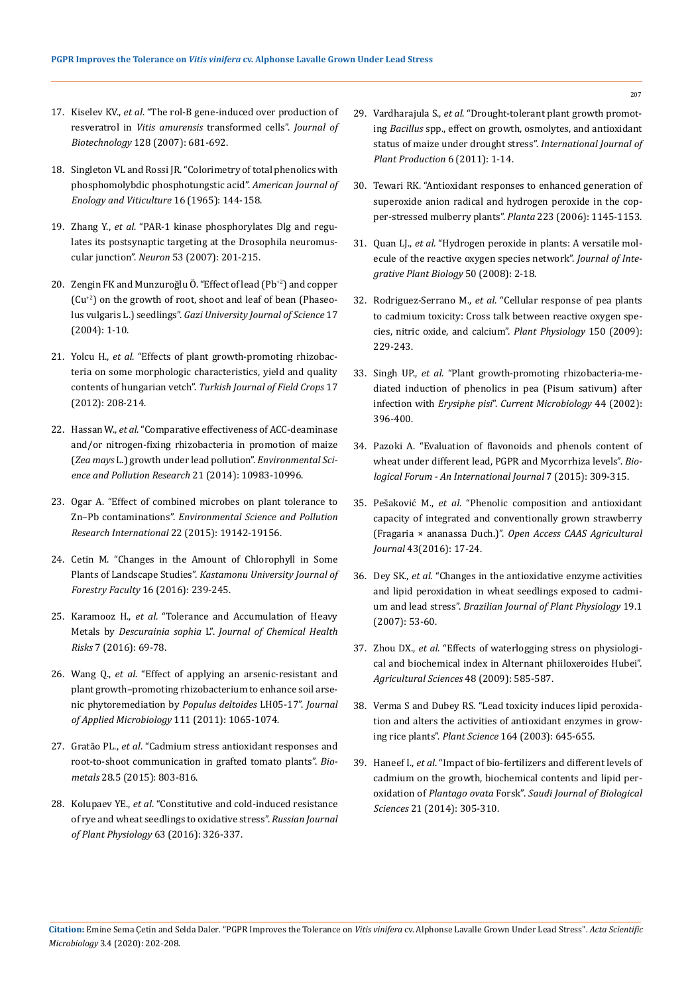- 17. Kiselev KV., *et al*[. "The rol-B gene-induced over production of](https://europepmc.org/article/med/17166613)  resveratrol in *Vitis amurensis* [transformed cells".](https://europepmc.org/article/med/17166613) *Journal of Biotechnology* [128 \(2007\): 681-692.](https://europepmc.org/article/med/17166613)
- 18. [Singleton VL and Rossi JR. "Colorimetry of total phenolics with](https://www.ajevonline.org/content/16/3/144)  [phosphomolybdic phosphotungstic acid".](https://www.ajevonline.org/content/16/3/144) *American Journal of [Enology and Viticulture](https://www.ajevonline.org/content/16/3/144)* 16 (1965): 144-158.
- 19. Zhang Y., *et al*[. "PAR-1 kinase phosphorylates Dlg and regu](https://www.sciencedirect.com/science/article/pii/S089662730601021X)[lates its postsynaptic targeting at the Drosophila neuromus](https://www.sciencedirect.com/science/article/pii/S089662730601021X)cular junction". *Neuron* [53 \(2007\): 201-215.](https://www.sciencedirect.com/science/article/pii/S089662730601021X)
- 20. [Zengin FK and Munzuroğlu Ö. "Effect of lead \(Pb](https://www.tandfonline.com/doi/pdf/10.1080/01140670909510264)<sup>+2</sup>) and copper (Cu[+2\) on the growth of root, shoot and leaf of bean \(Phaseo](https://www.tandfonline.com/doi/pdf/10.1080/01140670909510264)lus vulgaris L.) seedlings". *[Gazi University Journal of Science](https://www.tandfonline.com/doi/pdf/10.1080/01140670909510264)* 17 [\(2004\): 1-10.](https://www.tandfonline.com/doi/pdf/10.1080/01140670909510264)
- 21. Yolcu H., *et al*[. "Effects of plant growth-promoting rhizobac](https://www.researchgate.net/publication/265377385_Effects_of_plant_growth-promoting_rhizobacteria_on_some_morphologic_characteristics_yield_and_quality_contents_of_Hungarian_vetch)[teria on some morphologic characteristics, yield and quality](https://www.researchgate.net/publication/265377385_Effects_of_plant_growth-promoting_rhizobacteria_on_some_morphologic_characteristics_yield_and_quality_contents_of_Hungarian_vetch)  contents of hungarian vetch". *[Turkish Journal of Field Crops](https://www.researchgate.net/publication/265377385_Effects_of_plant_growth-promoting_rhizobacteria_on_some_morphologic_characteristics_yield_and_quality_contents_of_Hungarian_vetch)* 17 [\(2012\): 208-214.](https://www.researchgate.net/publication/265377385_Effects_of_plant_growth-promoting_rhizobacteria_on_some_morphologic_characteristics_yield_and_quality_contents_of_Hungarian_vetch)
- 22. Hassan W., *et al*[. "Comparative effectiveness of ACC-deaminase](https://www.ncbi.nlm.nih.gov/pubmed/24888619)  [and/or nitrogen-fixing rhizobacteria in promotion of maize](https://www.ncbi.nlm.nih.gov/pubmed/24888619)  (*Zea mays* [L.\) growth under lead pollution".](https://www.ncbi.nlm.nih.gov/pubmed/24888619) *Environmental Sci[ence and Pollution Research](https://www.ncbi.nlm.nih.gov/pubmed/24888619)* 21 (2014): 10983-10996.
- 23. [Ogar A. "Effect of combined microbes on plant tolerance to](https://link.springer.com/article/10.1007/s11356-015-5094-2)  Zn–Pb contaminations". *[Environmental Science and Pollution](https://link.springer.com/article/10.1007/s11356-015-5094-2)  [Research International](https://link.springer.com/article/10.1007/s11356-015-5094-2)* 22 (2015): 19142-19156.
- 24. [Cetin M. "Changes in the Amount of Chlorophyll in Some](https://www.researchgate.net/publication/291975315_Change_of_Chlorophyll_Amount_in_Some_Landscape_Plants)  Plants of Landscape Studies". *[Kastamonu University Journal of](https://www.researchgate.net/publication/291975315_Change_of_Chlorophyll_Amount_in_Some_Landscape_Plants)  Forestry Faculty* [16 \(2016\): 239-245.](https://www.researchgate.net/publication/291975315_Change_of_Chlorophyll_Amount_in_Some_Landscape_Plants)
- 25. Karamooz H., *et al*[. "Tolerance and Accumulation of Heavy](https://www.researchgate.net/publication/311703970_Tolerance_and_Accumulation_of_Heavy_Metals_by_Descurainia_sophia_L)  Metals by *Descurainia sophia* L". *[Journal of Chemical Health](https://www.researchgate.net/publication/311703970_Tolerance_and_Accumulation_of_Heavy_Metals_by_Descurainia_sophia_L)  Risks* [7 \(2016\): 69-78.](https://www.researchgate.net/publication/311703970_Tolerance_and_Accumulation_of_Heavy_Metals_by_Descurainia_sophia_L)
- 26. Wang Q., *et al*[. "Effect of applying an arsenic-resistant and](https://www.ncbi.nlm.nih.gov/pubmed/21895895)  [plant growth–promoting rhizobacterium to enhance soil arse](https://www.ncbi.nlm.nih.gov/pubmed/21895895)[nic phytoremediation by](https://www.ncbi.nlm.nih.gov/pubmed/21895895) *Populus deltoides* LH05-17". *Journal [of Applied Microbiology](https://www.ncbi.nlm.nih.gov/pubmed/21895895)* 111 (2011): 1065-1074.
- 27. Gratão PL., *et al*[. "Cadmium stress antioxidant responses and](https://www.ncbi.nlm.nih.gov/pubmed/26077192)  [root-to-shoot communication in grafted tomato plants".](https://www.ncbi.nlm.nih.gov/pubmed/26077192) *Biometals* [28.5 \(2015\): 803-816.](https://www.ncbi.nlm.nih.gov/pubmed/26077192)
- 28. Kolupaev YE., *et al*[. "Constitutive and cold-induced resistance](https://pubag.nal.usda.gov/catalog/5201106)  [of rye and wheat seedlings to oxidative stress".](https://pubag.nal.usda.gov/catalog/5201106) *Russian Journal [of Plant Physiology](https://pubag.nal.usda.gov/catalog/5201106)* 63 (2016): 326-337.
- 29. Vardharajula S., *et al*[. "Drought-tolerant plant growth promot](https://www.tandfonline.com/doi/full/10.1080/17429145.2010.535178)ing *Bacillus* [spp., effect on growth, osmolytes, and antioxidant](https://www.tandfonline.com/doi/full/10.1080/17429145.2010.535178)  [status of maize under drought stress".](https://www.tandfonline.com/doi/full/10.1080/17429145.2010.535178) *International Journal of [Plant Production](https://www.tandfonline.com/doi/full/10.1080/17429145.2010.535178)* 6 (2011): 1-14.
- 30. [Tewari RK. "Antioxidant responses to enhanced generation of](https://www.ncbi.nlm.nih.gov/pubmed/16292566)  [superoxide anion radical and hydrogen peroxide in the cop](https://www.ncbi.nlm.nih.gov/pubmed/16292566)[per-stressed mulberry plants".](https://www.ncbi.nlm.nih.gov/pubmed/16292566) *Planta* 223 (2006): 1145-1153.
- 31. Quan LJ., *et al*[. "Hydrogen peroxide in plants: A versatile mol](https://www.ncbi.nlm.nih.gov/pubmed/18666947)[ecule of the reactive oxygen species network".](https://www.ncbi.nlm.nih.gov/pubmed/18666947) *Journal of Inte[grative Plant Biology](https://www.ncbi.nlm.nih.gov/pubmed/18666947)* 50 (2008): 2-18.
- 32. Rodriguez-Serrano M., *et al*[. "Cellular response of pea plants](https://digital.csic.es/handle/10261/52999)  [to cadmium toxicity: Cross talk between reactive oxygen spe](https://digital.csic.es/handle/10261/52999)[cies, nitric oxide, and calcium".](https://digital.csic.es/handle/10261/52999) *Plant Physiology* 150 (2009): [229-243.](https://digital.csic.es/handle/10261/52999)
- 33. Singh UP., *et al*[. "Plant growth-promoting rhizobacteria-me](https://link.springer.com/article/10.1007/s00284-001-0007-7)[diated induction of phenolics in pea \(Pisum sativum\) after](https://link.springer.com/article/10.1007/s00284-001-0007-7)  infection with *Erysiphe pisi*". *[Current Microbiology](https://link.springer.com/article/10.1007/s00284-001-0007-7)* 44 (2002): [396-400.](https://link.springer.com/article/10.1007/s00284-001-0007-7)
- 34. [Pazoki A. "Evaluation of flavonoids and phenols content of](https://www.researchtrend.net/bfij/bf12/54%20ALIREZA%20PAZOKI%20@%20EVALUATION%20OF%20FLAVONOIDS.pdf)  [wheat under different lead, PGPR and Mycorrhiza levels".](https://www.researchtrend.net/bfij/bf12/54%20ALIREZA%20PAZOKI%20@%20EVALUATION%20OF%20FLAVONOIDS.pdf) *Bio[logical Forum - An International Journal](https://www.researchtrend.net/bfij/bf12/54%20ALIREZA%20PAZOKI%20@%20EVALUATION%20OF%20FLAVONOIDS.pdf)* 7 (2015): 309-315.
- 35. Pešaković M., *et al*[. "Phenolic composition and antioxidant](https://www.researchgate.net/publication/294104036_Phenolic_composition_and_antioxidant_capacity_of_integrated_and_conventionally_grown_strawberry_Fragaria_ananassa_Duch)  [capacity of integrated and conventionally grown strawberry](https://www.researchgate.net/publication/294104036_Phenolic_composition_and_antioxidant_capacity_of_integrated_and_conventionally_grown_strawberry_Fragaria_ananassa_Duch)  (Fragaria × ananassa Duch.)". *[Open Access CAAS Agricultural](https://www.researchgate.net/publication/294104036_Phenolic_composition_and_antioxidant_capacity_of_integrated_and_conventionally_grown_strawberry_Fragaria_ananassa_Duch)  Journal* [43\(2016\): 17-24.](https://www.researchgate.net/publication/294104036_Phenolic_composition_and_antioxidant_capacity_of_integrated_and_conventionally_grown_strawberry_Fragaria_ananassa_Duch)
- 36. Dey SK., *et al*[. "Changes in the antioxidative enzyme activities](http://www.scielo.br/scielo.php?script=sci_arttext&pid=S1677-04202007000100006)  [and lipid peroxidation in wheat seedlings exposed to cadmi](http://www.scielo.br/scielo.php?script=sci_arttext&pid=S1677-04202007000100006)um and lead stress". *[Brazilian Journal of Plant Physiology](http://www.scielo.br/scielo.php?script=sci_arttext&pid=S1677-04202007000100006)* 19.1 [\(2007\): 53-60.](http://www.scielo.br/scielo.php?script=sci_arttext&pid=S1677-04202007000100006)
- 37. Zhou DX., *et al*[. "Effects of waterlogging stress on physiologi](https://www.researchgate.net/publication/337042862_The_effect_of_lead_stress_on_some_of_the_biochemical_properties_in_eggplant_rootstocks_and_their_varieties)[cal and biochemical index in Alternant phiiloxeroides Hubei".](https://www.researchgate.net/publication/337042862_The_effect_of_lead_stress_on_some_of_the_biochemical_properties_in_eggplant_rootstocks_and_their_varieties)  *[Agricultural Sciences](https://www.researchgate.net/publication/337042862_The_effect_of_lead_stress_on_some_of_the_biochemical_properties_in_eggplant_rootstocks_and_their_varieties)* 48 (2009): 585-587.
- 38. [Verma S and Dubey RS. "Lead toxicity induces lipid peroxida](http://citeseerx.ist.psu.edu/viewdoc/download?doi=10.1.1.572.2953&rep=rep1&type=pdf)[tion and alters the activities of antioxidant enzymes in grow](http://citeseerx.ist.psu.edu/viewdoc/download?doi=10.1.1.572.2953&rep=rep1&type=pdf)ing rice plants". *Plant Science* [164 \(2003\): 645-655.](http://citeseerx.ist.psu.edu/viewdoc/download?doi=10.1.1.572.2953&rep=rep1&type=pdf)
- 39. Haneef I., *et al*[. "Impact of bio-fertilizers and different levels of](https://www.sciencedirect.com/science/article/pii/S1319562X13001174)  [cadmium on the growth, biochemical contents and lipid per](https://www.sciencedirect.com/science/article/pii/S1319562X13001174)oxidation of *Plantago ovata* Forsk". *[Saudi Journal of Biological](https://www.sciencedirect.com/science/article/pii/S1319562X13001174)  Sciences* [21 \(2014\): 305-310.](https://www.sciencedirect.com/science/article/pii/S1319562X13001174)

207